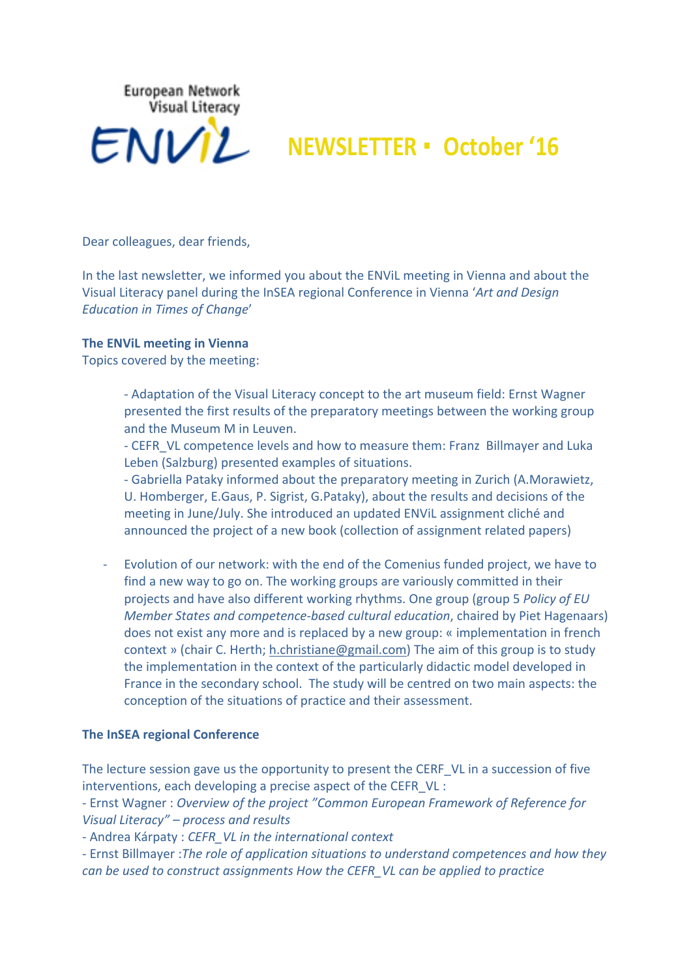

# **NEWSLETTER • October '16**

Dear colleagues, dear friends,

In the last newsletter, we informed you about the ENVIL meeting in Vienna and about the Visual Literacy panel during the InSEA regional Conference in Vienna '*Art and Design Education in Times of Change*' 

## **The ENViL meeting in Vienna**

Topics covered by the meeting:

- Adaptation of the Visual Literacy concept to the art museum field: Ernst Wagner presented the first results of the preparatory meetings between the working group and the Museum M in Leuven.

- CEFR VL competence levels and how to measure them: Franz Billmayer and Luka Leben (Salzburg) presented examples of situations.

- Gabriella Pataky informed about the preparatory meeting in Zurich (A.Morawietz, U. Homberger, E.Gaus, P. Sigrist, G.Pataky), about the results and decisions of the meeting in June/July. She introduced an updated ENViL assignment cliché and announced the project of a new book (collection of assignment related papers)

- Evolution of our network: with the end of the Comenius funded project, we have to find a new way to go on. The working groups are variously committed in their projects and have also different working rhythms. One group (group 5 *Policy of EU Member States and competence-based cultural education*, chaired by Piet Hagenaars) does not exist any more and is replaced by a new group: « implementation in french context » (chair C. Herth; h.christiane@gmail.com) The aim of this group is to study the implementation in the context of the particularly didactic model developed in France in the secondary school. The study will be centred on two main aspects: the conception of the situations of practice and their assessment.

#### **The InSEA regional Conference**

The lecture session gave us the opportunity to present the CERF VL in a succession of five interventions, each developing a precise aspect of the CEFR VL :

- Ernst Wagner : Overview of the project "Common European Framework of Reference for *Visual Literacy"* – process and results

- Andrea Kárpaty : *CEFR VL in the international context* 

- Ernst Billmayer :*The role of application situations to understand competences and how they can be used to construct assignments How the CEFR VL can be applied to practice*